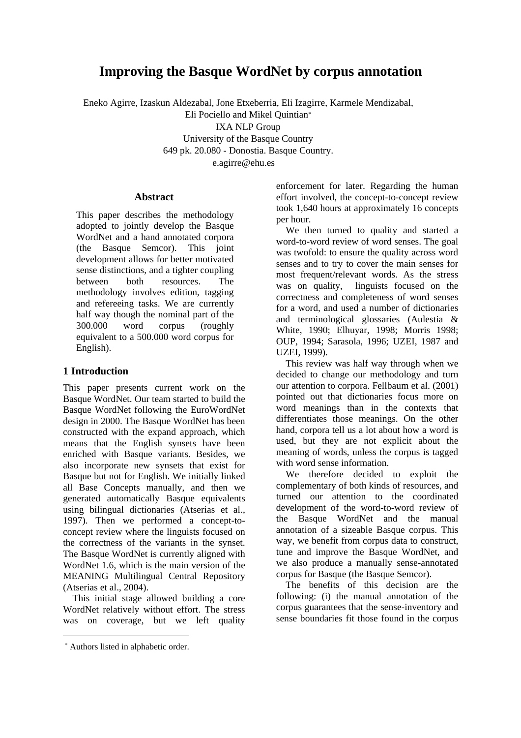# **Improving the Basque WordNet by corpus annotation**

Eneko Agirre, Izaskun Aldezabal, Jone Etxeberria, Eli Izagirre, Karmele Mendizabal, Eli Pociello and Mikel Quintian[∗](#page-0-0) IXA NLP Group University of the Basque Country 649 pk. 20.080 - Donostia. Basque Country. e.agirre@ehu.es

#### **Abstract**

This paper describes the methodology adopted to jointly develop the Basque WordNet and a hand annotated corpora (the Basque Semcor). This joint development allows for better motivated sense distinctions, and a tighter coupling between both resources. The methodology involves edition, tagging and refereeing tasks. We are currently half way though the nominal part of the 300.000 word corpus (roughly equivalent to a 500.000 word corpus for English).

# **1 Introduction**

This paper presents current work on the Basque WordNet. Our team started to build the Basque WordNet following the EuroWordNet design in 2000. The Basque WordNet has been constructed with the expand approach, which means that the English synsets have been enriched with Basque variants. Besides, we also incorporate new synsets that exist for Basque but not for English. We initially linked all Base Concepts manually, and then we generated automatically Basque equivalents using bilingual dictionaries (Atserias et al., 1997). Then we performed a concept-toconcept review where the linguists focused on the correctness of the variants in the synset. The Basque WordNet is currently aligned with WordNet 1.6, which is the main version of the MEANING Multilingual Central Repository (Atserias et al., 2004).

This initial stage allowed building a core WordNet relatively without effort. The stress was on coverage, but we left quality

enforcement for later. Regarding the human effort involved, the concept-to-concept review took 1,640 hours at approximately 16 concepts per hour.

We then turned to quality and started a word-to-word review of word senses. The goal was twofold: to ensure the quality across word senses and to try to cover the main senses for most frequent/relevant words. As the stress was on quality, linguists focused on the correctness and completeness of word senses for a word, and used a number of dictionaries and terminological glossaries (Aulestia & White, 1990; Elhuyar, 1998; Morris 1998; OUP, 1994; Sarasola, 1996; UZEI, 1987 and UZEI, 1999).

This review was half way through when we decided to change our methodology and turn our attention to corpora. Fellbaum et al. (2001) pointed out that dictionaries focus more on word meanings than in the contexts that differentiates those meanings. On the other hand, corpora tell us a lot about how a word is used, but they are not explicit about the meaning of words, unless the corpus is tagged with word sense information.

We therefore decided to exploit the complementary of both kinds of resources, and turned our attention to the coordinated development of the word-to-word review of the Basque WordNet and the manual annotation of a sizeable Basque corpus. This way, we benefit from corpus data to construct, tune and improve the Basque WordNet, and we also produce a manually sense-annotated corpus for Basque (the Basque Semcor).

The benefits of this decision are the following: (i) the manual annotation of the corpus guarantees that the sense-inventory and sense boundaries fit those found in the corpus

<span id="page-0-0"></span> <sup>\*</sup> Authors listed in alphabetic order.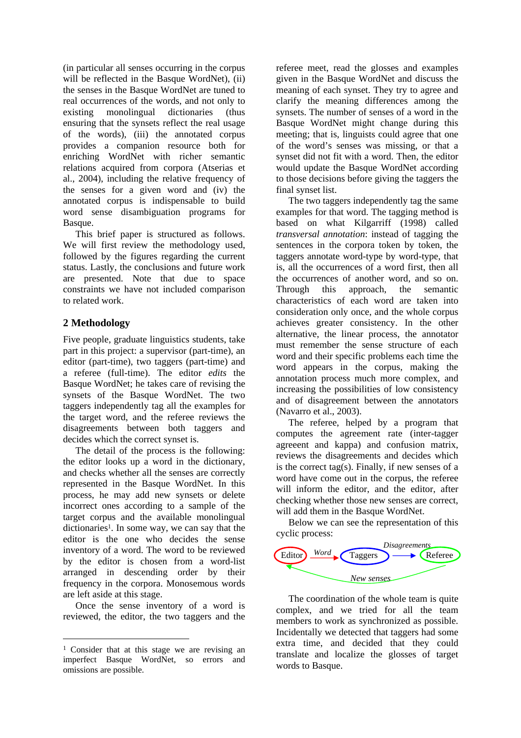(in particular all senses occurring in the corpus will be reflected in the Basque WordNet), (ii) the senses in the Basque WordNet are tuned to real occurrences of the words, and not only to existing monolingual dictionaries (thus ensuring that the synsets reflect the real usage of the words), (iii) the annotated corpus provides a companion resource both for enriching WordNet with richer semantic relations acquired from corpora (Atserias et al., 2004), including the relative frequency of the senses for a given word and (iv) the annotated corpus is indispensable to build word sense disambiguation programs for Basque.

This brief paper is structured as follows. We will first review the methodology used, followed by the figures regarding the current status. Lastly, the conclusions and future work are presented. Note that due to space constraints we have not included comparison to related work.

## **2 Methodology**

Five people, graduate linguistics students, take part in this project: a supervisor (part-time), an editor (part-time), two taggers (part-time) and a referee (full-time). The editor *edits* the Basque WordNet; he takes care of revising the synsets of the Basque WordNet. The two taggers independently tag all the examples for the target word, and the referee reviews the disagreements between both taggers and decides which the correct synset is.

The detail of the process is the following: the editor looks up a word in the dictionary, and checks whether all the senses are correctly represented in the Basque WordNet. In this process, he may add new synsets or delete incorrect ones according to a sample of the target corpus and the available monolingual dictionaries<sup>1</sup>. In some way, we can say that the editor is the one who decides the sense inventory of a word. The word to be reviewed by the editor is chosen from a word-list arranged in descending order by their frequency in the corpora. Monosemous words are left aside at this stage.

Once the sense inventory of a word is reviewed, the editor, the two taggers and the referee meet, read the glosses and examples given in the Basque WordNet and discuss the meaning of each synset. They try to agree and clarify the meaning differences among the synsets. The number of senses of a word in the Basque WordNet might change during this meeting; that is, linguists could agree that one of the word's senses was missing, or that a synset did not fit with a word. Then, the editor would update the Basque WordNet according to those decisions before giving the taggers the final synset list.

The two taggers independently tag the same examples for that word. The tagging method is based on what Kilgarriff (1998) called *transversal annotation*: instead of tagging the sentences in the corpora token by token, the taggers annotate word-type by word-type, that is, all the occurrences of a word first, then all the occurrences of another word, and so on. Through this approach, the semantic characteristics of each word are taken into consideration only once, and the whole corpus achieves greater consistency. In the other alternative, the linear process, the annotator must remember the sense structure of each word and their specific problems each time the word appears in the corpus, making the annotation process much more complex, and increasing the possibilities of low consistency and of disagreement between the annotators (Navarro et al., 2003).

The referee, helped by a program that computes the agreement rate (inter-tagger agreeent and kappa) and confusion matrix, reviews the disagreements and decides which is the correct tag(s). Finally, if new senses of a word have come out in the corpus, the referee will inform the editor, and the editor, after checking whether those new senses are correct, will add them in the Basque WordNet.

Below we can see the representation of this cyclic process:



The coordination of the whole team is quite complex, and we tried for all the team members to work as synchronized as possible. Incidentally we detected that taggers had some extra time, and decided that they could translate and localize the glosses of target words to Basque.

<span id="page-1-0"></span> <sup>1</sup> Consider that at this stage we are revising an imperfect Basque WordNet, so errors and omissions are possible.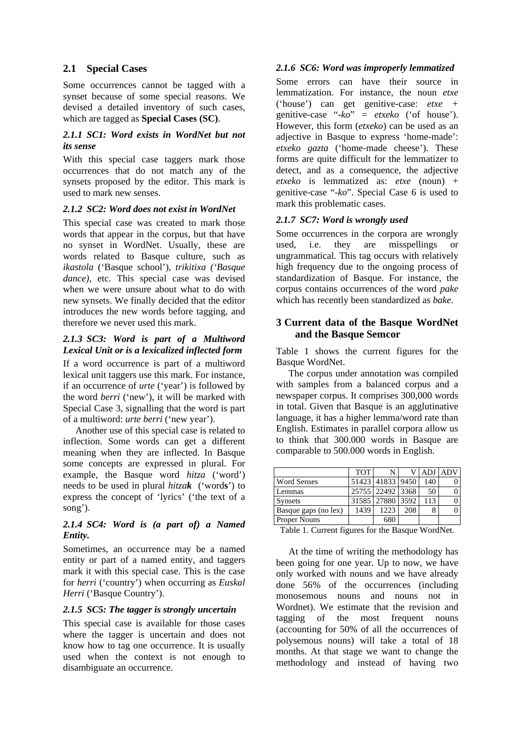## **2.1 Special Cases**

Some occurrences cannot be tagged with a synset because of some special reasons. We devised a detailed inventory of such cases, which are tagged as **Special Cases (SC)**.

#### *2.1.1 SC1: Word exists in WordNet but not its sense*

With this special case taggers mark those occurrences that do not match any of the synsets proposed by the editor. This mark is used to mark new senses.

## *2.1.2 SC2: Word does not exist in WordNet*

This special case was created to mark those words that appear in the corpus, but that have no synset in WordNet. Usually, these are words related to Basque culture, such as *ikastola* ('Basque school')*, trikitixa ('Basque dance*), etc. This special case was devised when we were unsure about what to do with new synsets. We finally decided that the editor introduces the new words before tagging, and therefore we never used this mark.

#### *2.1.3 SC3: Word is part of a Multiword Lexical Unit or is a lexicalized inflected form*

If a word occurrence is part of a multiword lexical unit taggers use this mark. For instance, if an occurrence of *urte* ('year') is followed by the word *berri* ('new'), it will be marked with Special Case 3, signalling that the word is part of a multiword: *urte berri* ('new year').

Another use of this special case is related to inflection. Some words can get a different meaning when they are inflected. In Basque some concepts are expressed in plural. For example, the Basque word *hitza* ('word') needs to be used in plural *hitzak* ('word**s**') to express the concept of 'lyrics' ('the text of a song').

## *2.1.4 SC4: Word is (a part of) a Named Entity.*

Sometimes, an occurrence may be a named entity or part of a named entity, and taggers mark it with this special case. This is the case for *herri* ('country') when occurring as *Euskal Herri* ('Basque Country').

## *2.1.5 SC5: The tagger is strongly uncertain*

This special case is available for those cases where the tagger is uncertain and does not know how to tag one occurrence. It is usually used when the context is not enough to disambiguate an occurrence.

## *2.1.6 SC6: Word was improperly lemmatized*

Some errors can have their source in lemmatization. For instance, the noun *etxe*  ('house') can get genitive-case: *etxe +*  genitive-case "*-ko*" *= etxeko* ('of house'). However, this form (*etxeko*) can be used as an adjective in Basque to express 'home-made': *etxeko gazta* ('home-made cheese'). These forms are quite difficult for the lemmatizer to detect, and as a consequence, the adjective *etxeko* is lemmatized as: *etxe* (noun) + genitive-case "*-ko*". Special Case 6 is used to mark this problematic cases.

## *2.1.7 SC7: Word is wrongly used*

Some occurrences in the corpora are wrongly used, i.e. they are misspellings or ungrammatical. This tag occurs with relatively high frequency due to the ongoing process of standardization of Basque. For instance, the corpus contains occurrences of the word *pake* which has recently been standardized as *bake*.

## **3 Current data of the Basque WordNet and the Basque Semcor**

Table 1 shows the current figures for the Basque WordNet.

The corpus under annotation was compiled with samples from a balanced corpus and a newspaper corpus. It comprises 300,000 words in total. Given that Basque is an agglutinative language, it has a higher lemma/word rate than English. Estimates in parallel corpora allow us to think that 300.000 words in Basque are comparable to 500.000 words in English.

|                      | <b>TOT</b> | N                |     | ADJ | ADV |
|----------------------|------------|------------------|-----|-----|-----|
| <b>Word Senses</b>   |            | 51423 41833 9450 |     | 140 |     |
| Lemmas               |            | 25755 22492 3368 |     | 50  |     |
| <b>Synsets</b>       |            | 31585 27880 3592 |     | 113 |     |
| Basque gaps (no lex) | 1439       | 1223             | 208 | 8   |     |
| <b>Proper Nouns</b>  |            |                  |     |     |     |

Table 1. Current figures for the Basque WordNet.

At the time of writing the methodology has been going for one year. Up to now, we have only worked with nouns and we have already done 56% of the occurrences (including monosemous nouns and nouns not in Wordnet). We estimate that the revision and tagging of the most frequent nouns (accounting for 50% of all the occurrences of polysemous nouns) will take a total of 18 months. At that stage we want to change the methodology and instead of having two